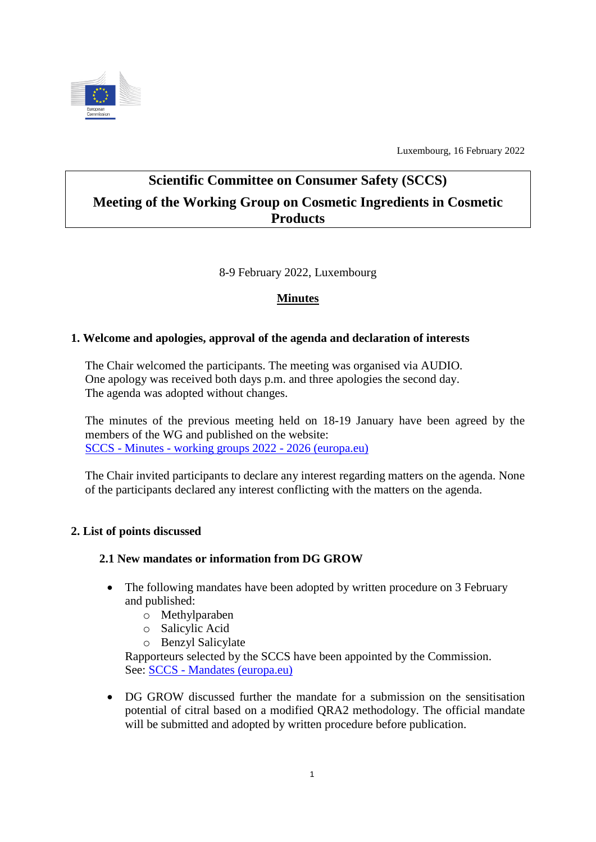

Luxembourg, 16 February 2022

# **Scientific Committee on Consumer Safety (SCCS) Meeting of the Working Group on Cosmetic Ingredients in Cosmetic Products**

8-9 February 2022, Luxembourg

# **Minutes**

# **1. Welcome and apologies, approval of the agenda and declaration of interests**

The Chair welcomed the participants. The meeting was organised via AUDIO. One apology was received both days p.m. and three apologies the second day. The agenda was adopted without changes.

The minutes of the previous meeting held on 18-19 January have been agreed by the members of the WG and published on the website: SCCS - Minutes - [working groups 2022 -](https://ec.europa.eu/health/scientific-committees/scientific-committee-consumer-safety-sccs/sccs-minutes-working-groups-2022-2026_en) 2026 (europa.eu)

The Chair invited participants to declare any interest regarding matters on the agenda. None of the participants declared any interest conflicting with the matters on the agenda.

# **2. List of points discussed**

# **2.1 New mandates or information from DG GROW**

- The following mandates have been adopted by written procedure on 3 February and published:
	- o Methylparaben
	- o Salicylic Acid
	- o Benzyl Salicylate

Rapporteurs selected by the SCCS have been appointed by the Commission. See: SCCS - [Mandates \(europa.eu\)](https://ec.europa.eu/health/scientific-committees/scientific-committee-consumer-safety-sccs/sccs-mandates_en)

 DG GROW discussed further the mandate for a submission on the sensitisation potential of citral based on a modified QRA2 methodology. The official mandate will be submitted and adopted by written procedure before publication.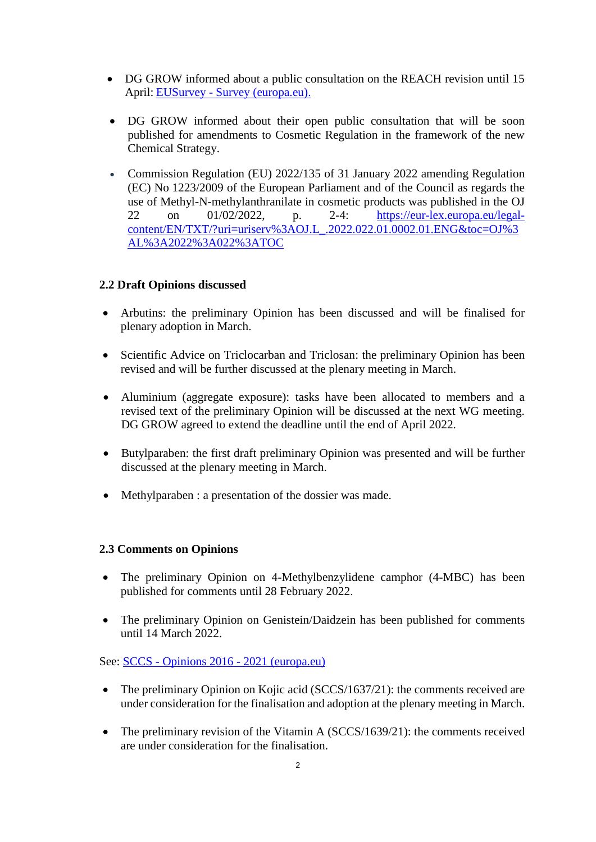- DG GROW informed about a public consultation on the REACH revision until 15 April: EUSurvey - [Survey \(europa.eu\).](https://ec.europa.eu/eusurvey/runner/TargetedREACHRevision2022?surveylanguage=en)
- DG GROW informed about their open public consultation that will be soon published for amendments to Cosmetic Regulation in the framework of the new Chemical Strategy.
- Commission Regulation (EU) 2022/135 of 31 January 2022 amending Regulation (EC) No 1223/2009 of the European Parliament and of the Council as regards the use of Methyl-N-methylanthranilate in cosmetic products was published in the OJ 22 on 01/02/2022, p. 2-4: [https://eur-lex.europa.eu/legal](https://eur-lex.europa.eu/legal-content/EN/TXT/?uri=uriserv%3AOJ.L_.2022.022.01.0002.01.ENG&toc=OJ%3AL%3A2022%3A022%3ATOC)[content/EN/TXT/?uri=uriserv%3AOJ.L\\_.2022.022.01.0002.01.ENG&toc=OJ%3](https://eur-lex.europa.eu/legal-content/EN/TXT/?uri=uriserv%3AOJ.L_.2022.022.01.0002.01.ENG&toc=OJ%3AL%3A2022%3A022%3ATOC) [AL%3A2022%3A022%3ATOC](https://eur-lex.europa.eu/legal-content/EN/TXT/?uri=uriserv%3AOJ.L_.2022.022.01.0002.01.ENG&toc=OJ%3AL%3A2022%3A022%3ATOC)

## **2.2 Draft Opinions discussed**

- Arbutins: the preliminary Opinion has been discussed and will be finalised for plenary adoption in March.
- Scientific Advice on Triclocarban and Triclosan: the preliminary Opinion has been revised and will be further discussed at the plenary meeting in March.
- Aluminium (aggregate exposure): tasks have been allocated to members and a revised text of the preliminary Opinion will be discussed at the next WG meeting. DG GROW agreed to extend the deadline until the end of April 2022.
- Butylparaben: the first draft preliminary Opinion was presented and will be further discussed at the plenary meeting in March.
- Methylparaben : a presentation of the dossier was made.

#### **2.3 Comments on Opinions**

- The preliminary Opinion on 4-Methylbenzylidene camphor (4-MBC) has been published for comments until 28 February 2022.
- The preliminary Opinion on Genistein/Daidzein has been published for comments until 14 March 2022.

#### See: SCCS - Opinions 2016 - [2021 \(europa.eu\)](https://ec.europa.eu/health/scientific-committees/scientific-committee-consumer-safety-sccs/sccs-opinions-2016-2021_en#preliminary-opinions-open-for-comments)

- The preliminary Opinion on Kojic acid (SCCS/1637/21): the comments received are under consideration for the finalisation and adoption at the plenary meeting in March.
- The preliminary revision of the Vitamin A (SCCS/1639/21): the comments received are under consideration for the finalisation.